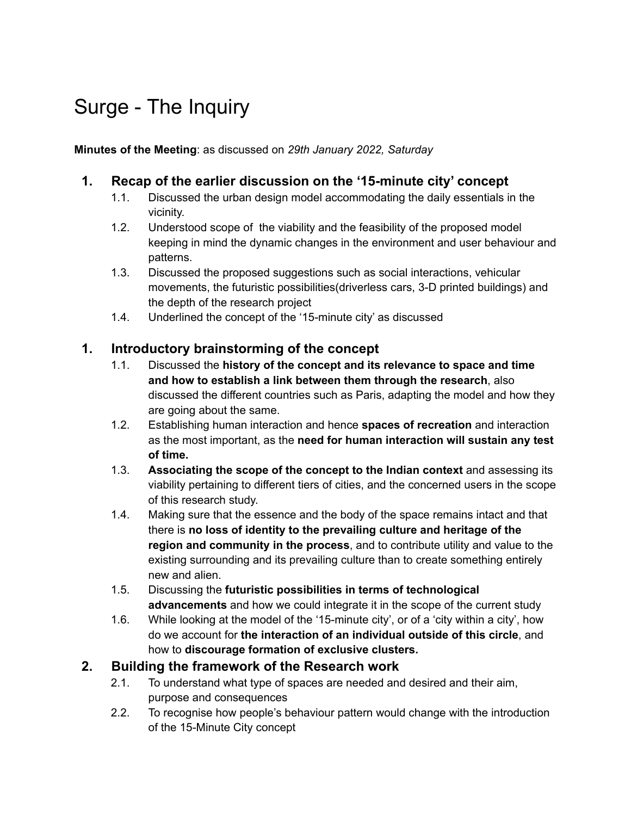# Surge - The Inquiry

**Minutes of the Meeting**: as discussed on *29th January 2022, Saturday*

### **1. Recap of the earlier discussion on the '15-minute city' concept**

- 1.1. Discussed the urban design model accommodating the daily essentials in the vicinity.
- 1.2. Understood scope of the viability and the feasibility of the proposed model keeping in mind the dynamic changes in the environment and user behaviour and patterns.
- 1.3. Discussed the proposed suggestions such as social interactions, vehicular movements, the futuristic possibilities(driverless cars, 3-D printed buildings) and the depth of the research project
- 1.4. Underlined the concept of the '15-minute city' as discussed

#### **1. Introductory brainstorming of the concept**

- 1.1. Discussed the **history of the concept and its relevance to space and time and how to establish a link between them through the research**, also discussed the different countries such as Paris, adapting the model and how they are going about the same.
- 1.2. Establishing human interaction and hence **spaces of recreation** and interaction as the most important, as the **need for human interaction will sustain any test of time.**
- 1.3. **Associating the scope of the concept to the Indian context** and assessing its viability pertaining to different tiers of cities, and the concerned users in the scope of this research study.
- 1.4. Making sure that the essence and the body of the space remains intact and that there is **no loss of identity to the prevailing culture and heritage of the region and community in the process**, and to contribute utility and value to the existing surrounding and its prevailing culture than to create something entirely new and alien.
- 1.5. Discussing the **futuristic possibilities in terms of technological advancements** and how we could integrate it in the scope of the current study
- 1.6. While looking at the model of the '15-minute city', or of a 'city within a city', how do we account for **the interaction of an individual outside of this circle**, and how to **discourage formation of exclusive clusters.**

#### **2. Building the framework of the Research work**

- 2.1. To understand what type of spaces are needed and desired and their aim, purpose and consequences
- 2.2. To recognise how people's behaviour pattern would change with the introduction of the 15-Minute City concept